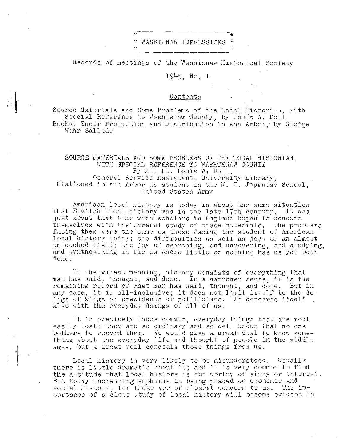## WASHTENAW IMPRESSIONS

Records of meetings of the Washtenaw Historical Society

1945. No. 1

## Contents

Source Materials and Some Problems of the Local Historian, with Special Reference to Washtenaw County, by Louis W. Doll Books: Their Production and Distribution in Ann Arbor, by George Wahr Sallade

## SOURCE MATERIALS AND SOME PROBLEMS OF THE LOCAL HISTORIAN. WITH SPECIAL REFERENCE TO WASHTENAW COUNTY By 2nd Lt. Louis W. Doll. General Service Assistant, University Library. Stationed in Ann Arbor as student in the M. I. Japanese School, United States Army

American local history is today in about the same situation that English local history was in the late 17th century. It was just about that time when scholars in England began to concern themselves with the careful study of these materials. The problems facing them were the same as those facing the student of American local history today: the difficulties as well as joys of an almost untouched field; the joy of searching, and uncovering, and studying,<br>and synthesizing in fields where little or nothing has as yet been done.

In the widest meaning, history consists of everything that man has said, thought, and done. In a narrower sense, it is the remaining record of what man has said, thought, and done. But in any case, it is all-inclusive; it does not limit itself to the doings of kings or presidents or politicians. It concerns itself also with the everyday doings of all of us.

It is precisely those common, everyday things that are most easily lost; they are so ordinary and so well known that no one bothers to record them. We would give a great deal to know something about the everyday life and thought of people in the middle ages. but a great veil conceals those things from us.

Local history is very likely to be misunderstood. Usually there is little dramatic about it; and it is very common to find the attitude that local history is not worthy of study or interest. But today increasing emphasis is being placed on economic and social history, for those are of closest concern to us. The importance of a close study of local history will become evident in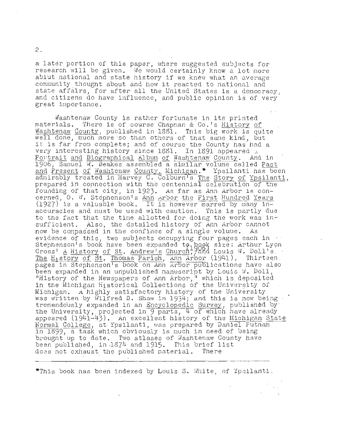a later portion of this paper, where suggested subjects for research will be given. We would certainly know a lot more abiut national and state history if we knew what an average community thought about and how it reacted to national and state affairs, for after all the United States is a democracy. and citizens do have influence, and public opinion is of very great importance.

Washtenaw County is rather fortunate in its printed materials. There is of course Chapman & Co.'s History of Washtenaw County, published in 1881. This big work is quite well done, much more so than others of that same kind, but it is far from complete; and of course the County has had a very interesting history since 1881. In 1891 appeared a Portrait and Biographical Album of Washtenaw County. And in 1906, Samuel W. Beakes assembled a similar volume called Past and Present of Washtenaw County, Michigan. \* Ypsilanti has been admirably treated in Harvey C. Colburn's The Story of Ypsilanti, prepared in connection with the centennial celebration of the founding of that city, in 1923. As far as Ann Arbor is concerned, O. W. Stephenson's Ann Arbor the First Hundred Years (1927) is a valuable book. It is however marred by many inaccuracies and must be used with caution. This is partly due to the fact that the time allotted for doing the work was insufficient. Also, the detailed history of Ann Arbor cannot now be compassed in the confines of a single volume. As evidence of this, two subjects occupying four pages each in ... Stephenson's book have been expanded to book size: Arthur Lyon Cross' A History of St. Andrew's Church, and Louis W. Doll's The History of St. Thomas Parish, Ann Arbor (1941). Thirteen pages in Stephenson's book on Ann Arbor publications have also been expanded in an unpublished manuscript by Louis  $W$ . Doll, "History of the Newspapers of Ann Arbor," which is deposited in the Michigan Historical Collections of the University of Michigan. A highly satisfactory history of the University was written by Wilfred B. Shaw in 1934; and this is now being. tremendously expanded in an Encyclopedic Survey, published by the University, projected in  $\frac{9}{9}$  parts,  $\frac{1}{4}$  of which have already appeared (1941-43). An excellent history of the Michigan State Normal College, at Ypsilanti, was prepared by Daniel Futnam in 1899, a task which obviously is much in need of being brought up to date. Two atlases of Washtenaw County have been published, in 1874 and 1915. This brief list does not exhaust the published material. There

"This book has been indexed by Louis S. White, of Ypsilanti.

 $2.$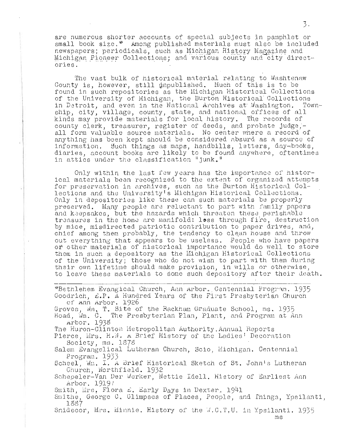are numerous shorter accounts of special subjects in pamphlet or small book size. \* Among published materials must also be included newspapers; periodicals, such as Michigan History Magazine and Michigan Pioneer Collections; and various county and city directories.

The vast bulk of historical material relating to Washtenaw County is, however, still unpublished. Much of this is to be found in such repositories as the Michigan Historical Collections of the University of Michigan, the Burton Historical Collections in Detroit, and even in the National Archives at Washington. Township, city, village, county, state, and national offices of all kinds may provide materials for local history. The records of county clerk, treasurer, register of deeds, and probate judge,all form valuable source materials. No center where a record of anything has been kept should be considered absurd as a source of information. Such things as maps, handbills, letters, day-books, diaries, account books are likely to be found anywhere, oftentimes in attics under the classification "junk."

Only within the last few years has the importance of historical materials been recognized to the extent of organized attempts for preservation in archives, such as the Burton Historical Collections and the University's Michigan Historical Collections. Only in depositories like these can such materials be properly preserved. Many people are reluctant to part with family papers and keepsakes, but the hazards which threaten these perishable treasures in the home are manifold: loss through fire, destruction by mice, misdirected patriotic contribution to paper drives, and, chief among them probably, the tendency to clean house and throw out everything that appears to be useless. People who have papers or other materials of historical importance would do well to store them in such a depository as the Michigan Historical Collections of the University; those who do not wish to part with them during their own lifetime should make provision, in wills or otherwise, to leave these materials to some such depository after their death.

\*Bethlehem Evangical Church, Ann Arbor. Centennial Program. 1935 Goodrich, L.P. A Hundred Years of the First Presbyterian Church of Ann Arbor. 1926 Groves, wm, T. Site of the Rackham Graduate School, ms. 1935 Hoad, Wm. C. The Presbyterian Plan, Plant, and Program at Ann Arbor. 1938 The Huron-Clinton Metropolitan Authority, Annual Reports Pierce, Mrs. H.W. A Brief History of the Ladies' Decoration Society, ms. 1878 Salem Evangelical Lutheran Church, Scio, Michigan. Centennial Program. 1933 Scheel, Wm. I. A Brief Historical Sketch of St. John's Lutheran Church, Northfield. 1932 Schepeler-Van Der Werker, Nettie Idell. History of Earliest Ann Arbor. 1919? Smith, Mrs. Flora &. Early Days in Dexter. 1941 Smithe, George C. Glimpses of Places, People, and Things, Ypsilanti, 1887

Snidecor, Mrs. Minnie. History of the W.C.T.U. in Ypsilanti. 1935

 $ms$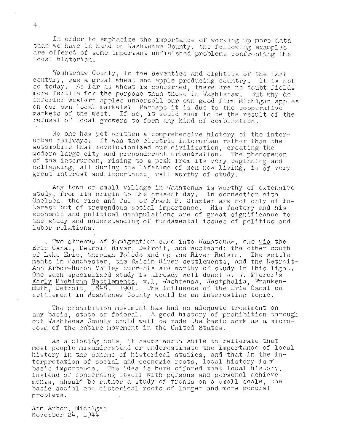In order to emphasize the importance of working up more data than we have in hand on Washtenaw County, the following examples are offered of some important unfinished problems confronting the local historian.

Washtenaw County, in the seventies and eighties of the last century, was a great wheat and apple producing country. It is not so today. As far as wheat is concerned, there are no doubt fields more fertile for the purpose than those in Washtenaw. But why do inferior western apples undersell our own good firm Michigan apples on our own local markets? Perhaps it is due to the cooperative markets of the west. If so, it would seem to be the result of the refusal of local growers to form any kind of combination.

No one has yet written a comprehensive history of the interurban railways. It was the electric interurban rather than the automobile that revolutionized our civilization, creating the modern large city and preponderant urbanization. The phenomenon of the interurban, rising to a peak from its very beginning and collapsing, all during the lifetime of men now living, is  $of$  very great interest and importance, well worthy of study.

Any town or small village in Washtenaw is worthy of extensive study, from its origin to the present day. In connection with Chelsea, the rise and fall of Frank P. Glazier are not only of interest but of tremendous social importance. His factory and his economic and political manipulations are of great significance to the study and understanding of fundamental issues of politics and labor relations;

. Two streams of immigration came into  $W$ ashtenaw, one via the Erie Canal, Detroit River, Detroit, and westward; the other south of Lake Erie, through Toledo and up the River Raisin. The settlements in Manchester, the Raisin River settlements, and the Detroit-Ann Arbor-Huron Valley currents are worthy of study in this light. One such specialized study is already well done:  $\vec{v}$ .  $\vec{v}$ . Florer's Early Michigan Settlements, v.l, Washtenaw, Westphalia, Frankenmuth, Detroit, 1848. 1901. The influence of the Erie Canal on settlement in Washtenaw County would be an interesting topic.

The prohibition movement has had no adequate treatment on any basis, state or federal. A good history of prohibition throughout Washtenaw County could well be made the basic work as a microcosm of the entire movement in the United States.

As a closing note, it seems worth while to reiterate that most people misunderstand or underestimate the importance of local history in the scheme of historical studies, and that in the interpretation of social and economic roots, local history is  $f$ basic importance. The idea is here offered that local history, instead of concerning itself with persons and personal achievements, should be rather a study of trends on a small scale, the basic social and historical roots of larger and more general problems .

Ann Arbor, Mi chigan November 24, 1944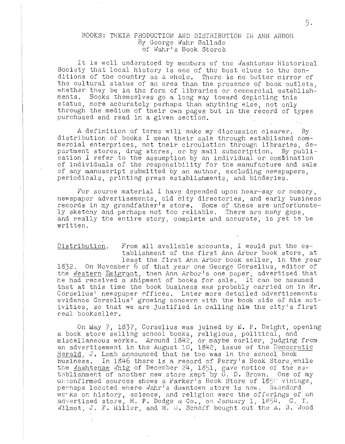## BOOKS: THEIR PRODUCTIOH AND DISTRIBUTION III ANN ARBOR By George Wahr Sallade of Wahr's Book Stores

It is well understood by members of the Mashtenaw Historical Society that local history is one of the best clues to the con-Society that local history is one of the best clues to the con-<br>ditions of the country as a whole. There is no better mirror of the cultural status of an area than the, presence Of book outlets, whether they be in the form of libraries or commercial establishwhether they be in the form of libraries or commercial establish-<br>ments. Books themselves go a long way toward depicting this status, more accurately perhaps than anything else, not only through the medium of their own pages but in the record of types purchased and read in a given section.

A definition of terms will make my discussion clearer. By distribution of books I mean their sale through established com-<br>mercial enterprises, not their circulation through libraries, department stores, drug stores, or by mail subscription. By publication I refer to the assumption by an individual or combination of individuals of the responsibility for the manufacture and sale of any manuscript submitted by an author, excluding newspapers, periodicals, printing press establishments, and binderies.

For source material I have depended upon hear-say or memory,<br>newspaper advertisements, old city directories, and early business records in my grandfather's store. Some of these are unfortunately sketchy and perhaps not too reliable. There are many gaps, and really the entire story, complete and accurate', is yet to be written.

Distribution. From all available accounts, I would put the establishment of the first Ann Arbor book store, at<br>least the first Ann Arbor book seller, in the year 1832. On November 6 of that year one George Corselius, editor of the Western Emigrant, then Ann Arbor<sup>1</sup>s one paper, advertised that he had received a shipment of books for sale. It can be assumed that at this time the book business was probably carried on in Mr. Corselius' newspaper offices. Later more detailed advertisements evidence Corselius' growing concern with the book side of his act-<br>ivities, so that we are justified in calling him the city's first real bookseller.

On May 7, 1837, Corselius was joined by E. P. Dwight, opening a book store selling school books, religious, political, and miscellaneous works. Around 1842, or maybe earlier, judging from an advertisement in the August 10, 1842, issue of the Democratic Herald, J. Lamb announced that he too was in the school book business. In 1846 there is a record of Perry's Book Store, while the Mashtenaw Whig of December 24, 1851, gave notice of the establishment of another new store kept by G. D. Brown. One of my unponfirmed sources shows a Parker's Book Store of 1850 vintage, perhaps located where Wahr's downtown store is now, Standard works on history, science, and religion were the offerings of an advertised store, H. P. Dodge  $\alpha$  Co., on January 1, 1854. C. T. Wilmot, J. F. Miller, and N. M. Schoff bought out the A. B. Wood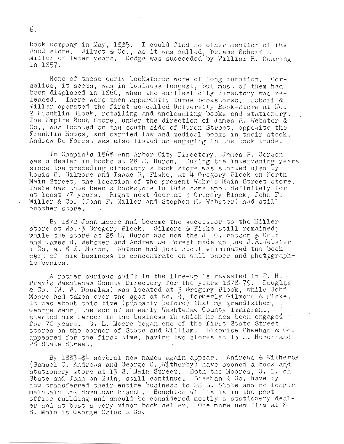book company in May, 1885. I could find no other mention of the Wood store. Wilmot & Co., as it was called, became Schoff & Miller of later years. Dodge was succeeded by William R. Searing in 1857.

None of these early bookstores were of long duration. Corselius, it seems, was in business longest, but most of them had been displaced in 1860, when the earliest city directory was released. There were then apparently three bookstores, achoff & Miller operated the first so-called University Book-Store at No. 2 Franklin Block, retailing and wholesaling books and stationery. The Empire Book Store, under the direction of James R. Webster & Co., was located on the south side of Huron Street, opposite the Franklin House, and carried law and medical books in their stock. Andrew De Forest was also listed as engaging in the book trade.

In Chapin's 1868 Ann Arbor City Directory, James R. Corson was a dealer in books at 28 *L*. Huron. During the intervening years was a doarer in soons as Eg B. haren, Barring eno inservening. Louis B. Gilmore and Isaac R. Fiske , at It Gregory Block on North Main Street, the location of the present Wahr<sup>T</sup>s Main Street store. main befood, end roomeron or end probone while main befood sect. Miller &  $Co$ . (John F. Miller and Stephen  $M$ . Webster) had still another store.

There has thus been a bookstore in this same spot derinitely for<br>at least 77 years. Right next door at 3 Gregory Block, John F.<br>
Miller & Go. (John F. Miller and Stephen M. Webster) had still<br>
another store.<br>
... By 1872 J By 1872 John Moore had become the successor to the Miller store at No. 3 Gregory Block. Gilmore & Fiske still remained; while the store at 28 E. Huron was now the J. C. Watson  $\&$  Co.; and James R. Webster and Andrew De Forest made up the J.R. Vebster & Co. at 8 E. Huron. Watson had just about eliminated the book part of his business to concentrate on wall paper and photographid copies.

A rather curious shift in the line-up is revealed in  $F$ . H. Pray's Mashtenaw County Directory for the years 1878-79. Douglas riay s washtenaw county birectory for the years hofe (). Boughands Moore had taken over the spot at No. 4, formerly Gilmore & Fiske. It was about this time (probably before) that my grandfather, George Wahr, the son of an early Washtenaw County immigrant, started his career in the business in which he has been engaged. for 70 years. G. L. Moore began one of the first State Street stores on the corner of State and William. Likewise Sheehan & Co. appeared for the first time, having two stores at  $13 \leq$ . Huron and 28 State Street.

By  $1883-84$  several new names again appear. Andrews & Witherby (Samuel C. Andrews and George C. Witherby) have opened a book and stationery store at 13 S. Main Street. Both the Moores, G. L. on stationery store at 12 S. Main Street. Both the moores, G. B.<br>State and John on Main, still continue. Sheehan & Co. have by new transferred their entire business to 28 S, State and no longer maintain the downtown branch. Boughton willis is in the post office building and should be considered mostly a stationery dealer and at best a very minor book seller. One more new firm at 8 S. Main is George Osius & Co.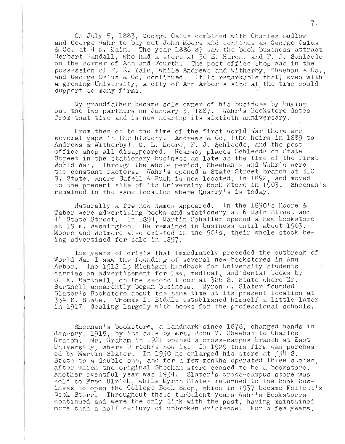On July 5, 1883, George Osius combined with Charles Ludlow and George Wahr to buy out John Moore and continue as George Osius & Co. at 4 N. Main. The year 1886-87 saw the book business attract<br>Herbert Randall, who had a store at 30 E. Huron, and F. J. Schleede<br>on the corner of Ann and Fourth. The post office shop was in the possession of F. E. Yale, while Andrews and Witherby, Sheehan & Co., and George Osius & Co. continued. It is remarkable that, even with a growing University, a city of Ann Arbor's size at the time could support so many firms.

My grandfather became sole owner of his business by buying out the two partners on January 3, 1887. Wahr's Bookstore dates from that time and is now nearing its sixtieth anniversary.

From then on to the time of the first World War there are several gaps in the history. Andrews & Co. (the heirs in 1889 to Andrews & Witherby), G. L. Moore, F. J. Schleede, and the post office shop all disappeared. Hearsay places Schleede on State Street in the stationery business as late as the time of the first World War. Through the whole period, Sheehan's and Wahr's were the constant factors. Wahr's opened a State Street branch at 310<br>S. State, where Safell & Bush is now located, in 1892, and moved to the present site of its University Book Store in 1903. Sheehan's remained in the same location where Quarry's is today,

Naturally a few new names appeared. In the 1890's Moore & Taber were advertising books and stationery at 6 Main Street and 44 State Street. In 1894, Martin Schaller opened a new bookstore at 19 E. Washington. He remained in business until about 1903. Moore and Wetmore also existed in the 90's, their whole stock being advertised for sale in 1897.

The years of crisis that immediately preceded the outbreak of World War I saw the founding of several new bookstores in Ann Arbor. The 1912-13 Michigan handbook for University students carries an advertisement for law, medical, and dental books by C. E. Barthell, on the second floor at 326 S. State where Mr. Barthell apparently began business. Myron E. Slater founded<br>Slater's Bookstore about the same time at its present location at 334 S. State. Thomas I. Biddle established himself a little later in 1917, dealing largely with books for the professional schools.

Sheehan's bookstore, a landmark since 1878, changed hands in January, 1918, by its sale by Mrs. John V. Sheehan to Charles Graham. Mr. Graham in 1921 opened a cross-campus branch at East University, where Ulrich's now is. In 1929 this firm was purchased by Marvin Slater. In 1930 he enlarged his store at 734 S. State to a double one, and for a few months operated three stores, after which the original Sheehan store ceased to be a bookstore. Another eventful year was 1934. Slater's cross-campus store was sold to Fred Ulrich, while Myron Slater returned to the book business to open the College Book Shop, which in 1937 became Follett's Book Store. Throughout these turbulent years Wahr's Bookstores continued and were the only link with the past, having maintained more than a half century of unbroken existence. For a few years,

 $7.$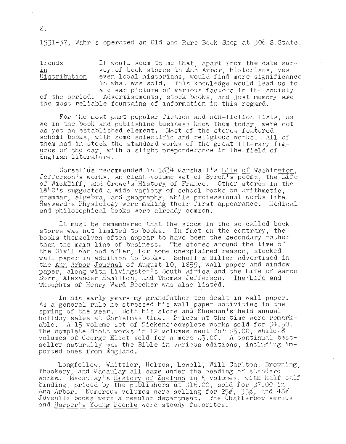1931-37, Wahr's operated an Old and Rare Book Shop at 306 S.State.

Trends<br>in Distribution It would seem to me that, apart from the date survey of book stores in Ann Arbor, historians, yes even local historians, would find more significance in what was sold, This knowl edge would lead us to a clear picture of various factors in the society

of the period. Advertisements, stock books, and just memory are the most reliable fountains of information in this regard.

For the most part popular fiction and non-fiction lists, as we in the book and publishing business know them today, were not as yet an established element. Most of the stores featured school books, with some scientific and religious works. All of them had in stock the standard works of the great literary figures of the day, with a slight preponderance in the field of English literature.

Corselius recommended in  $1834$  Marshall's Life of Washington, Jefferson's works, an eight-volume set of Byron's poems, the Life of Wickfliff, and Crowe's History of France. Other stores in the lS40's suggested a wide va~iety of school books on arithmetic, grammar, algebra, and geography, while professional works like Hayward's Physiology were making their first appearance. Medical and philosophical books were already common.

It must be remembered that the stock in the so-called book stores was not limited to books. In fact on the contrary, the books themselves often appear to have been the secondary rather than the main line of business. The stores around the time of the Civil War and after, for some unexplained reason, stocked wall paper in addition to books, Schoff & Miller advertised in the Ann Arbor Journal of August 10, 1859, wall paper and window paper, along with Livingston's South Africa and the Life of Aaron Burr, Alexander Hamilton, and Thomas Jefferson. The Life and Thoughts of Henry Ward Beecher was also listed.

In his early years my grandfather too dealt in wall paper.<br>As a general rule he stressed his wall paper activities in the spring of the year. Both his store and Sheehan's held annual holiday sales at Christmas time. Prices at the time were remarkable. A 15-volume set of Dickens' complete works sold for  $\frac{1}{9}$ . abic: In iy vorame Second Brenchs compress wenth Sold for  $\frac{1}{35}$ . No. while 8 volumes of George Eliot sold for a me re .;3.00,' A continua l b <sup>e</sup> stseller naturally was the Bible in various editions, including imported ones from England.

Longfellow, Whittier, Holmes, Lowell, Will Carlton, Browning, Thackery, and Macaulay all came under the heading of standard works. Macaulay's  $H_1$ story of England in 5 volumes, with half-calf binding, priced by the publishers at  $316.00$ , sold for  $37.00$  in Ann Arbor. Numerous volumes were selling for  $25\ell$ ,  $35\ell$ , and  $48\ell$ . Juvenile books were a regular department. The Chatterbox series and Harper's Young People were steady favorites.

s.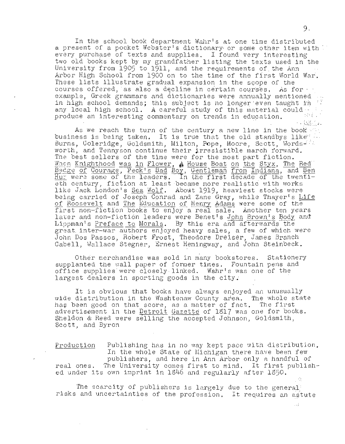In the school book department Wahr's at one time distributed a present of a pocket Webster's dictionary or some other item with every purchase of texts and supplies. I found very interesting two old books kept by my grandfather listing the texts used in the University from 1905 to 1911, and the requirements of the Ann Arbor High School from 1900 on to the time of the first World War. These lists illustrate gradual expansion in the scope of the courses offered, as also a decline in certain courses. As for - · · example, Greek grammars and dictionaries were annually mentioned in high school demands; this subject is no longer even taught in  $\ddot{\cdot}$  any local high school. A careful study of this material could; produce an interesting commentary on trends in education.  $\mathbb{R}^n$ .

As we reach the turn of the century a new line in the book ··· business is being taken. It is true that the old standbys like  $\ldots$  Burns, Coleridge, Goldsmith, Milton, Pope, Moore, Scott, Words-' in worth, and Tennyson continue their irresistible march rorward. The best sellers of the time were for the most part fiction.<br>When Knighthood was in Flower, A House Boat on the Styx, The Red when Knighthood was in Flower, A House Boat on the Styx, The Red<br>Badge of Courage, Peck's Bad Boy, Gentleman from Indiana, and Ben<br>Hur were some of the leaders. In the first decade of the twenti-Backe of Courage, Feck s bad boy, Gentieman from Indiana, and Ben  $\frac{1}{\sqrt{2}}$  century, fiction at least became more realistic with works like Jack London's Sea Wolf. About 1919, heaviest stocks were being carried of Joseph Conrad and Zane Gray, while Thayer's Life of Roosevelt and The Education of Henry Adams were some of the first non-fiction books to enjoy a real sale. Another ten years later and non-fiction leaders were Benet's John Brown's Body and Lippman's Preface to Morals. By this era and afterwards the great. inter-war authors enjoyed heavy sales, a few of which were John Dos Passos, Robert Frost, Theodore Dreiser, James Branch Cabell, Wallace Stegner, Ernest Hemingway, and John Steinbeck.

Other merchandise was sold in many bookstores. supplanted the wall paper of former times. Fountain pens and office supplies were closely linked. Wahr's was one of the largest dealers in sporting goods in the city. Stationery

It is obvious that books have always enjoyed an unusually wide distribution in the Washtenaw County area. The whole state wide distribution in the washednaw bounty area. The whole switched that advertisement in the Detroit Gazette of 1817 was one for books. Sheldon & Reed were selling the accepted Johnson, Goldsmith, Scott, and Byron

Production Publishing has in no way kept pace with distribution. In the whole State of Michigan there have been few publishers, and here in Ann Arbor only a handful of real ones. The University comes first to mind. It first published under its own imprint in 1846 and regularly after 1850.

 $\mathbb{R}^n$ . The scarcity of publishers is largely due to the general  $\mathbb{R}^n$ risks and uncertainties of the profession. It requires an astute

 $\sim$  3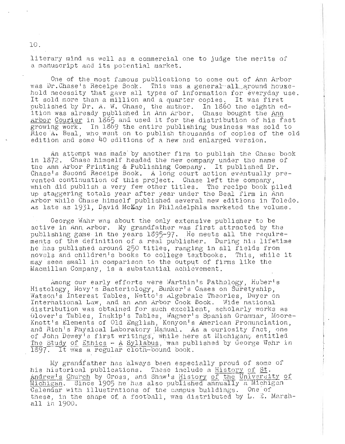literary mind as well as a commercial one to judge the merits of a manuscript and its potential market.

One of the most famous publications to come out of Ann Arbor was Dr. Chase's Receipe Book. This was a general all around household necessity that gave all types of information for everyday use. It sold more than a million and a quarter copies. It was first published by Dr. A. W. Chase, the author. In 1860 the eighth edpasition as already published in Ann Arbor. Chase bought the Ann Arbor Courier in 1865 and used it for the distribution of his fast which the research in the second term in the distribution of the rest growing work. In 1869 the entire publishing business was sold to Rice A. Beal, who went on to publish thousands of copies of the old edition and some 40 editions of a new and enlarged version.

An attempt was made by another firm to publish the Chase book in 1872. Chase himself headed the new company under the name of the Ann Arbor Printing & Publishing Company. It published Dr. Chase's Second Receipe Book. A long court action eventually prevented continuation of this project. Chase left the company, which did publish a very few other titles. The recipe book piled up staggering totals year after year under the Beal firm in Ann Arbor while Chase himself published several new editions in Toledo. As late as 1931, David McKay in Philadelphia marketed the volume.

George Wahr was about the only extensive publisher to be active in Ann Arbor. My grandfather was first attracted by the publishing game in the years 1895-97. He meets all the requirements of the definition of a real publisher. During his lifetime he has published around 250 titles, ranging in all fields from novels and children's books to college textbooks. This, while it may seem small in comparison to the output of firms like the Macmillan Company, is a substantial achievement.

Among our early efforts were Warthin's Pathplogy, Huber's Histology, Novy's Bacteriology, Bunker's Cases on Suretyship, Watson's Interest Tables, Netto's Algebraic Theories, Dwyer on International Law, and an Ann Arbor Cook Book. Wide national distribution was obtained for such excellent, scholarly works as Glover's Tables, Inskip's Tables, Wagner's Spanish Grammar, Moore-Knott's Elements of Old English, Kenyon's American Pronunciation, and Rich's Physical Laboratory Manual. As a curiosity fact, one of John Dewey's first writings, while here at Michigan, entitled The Study of Ethics - A Syllabus, was published by George Wahr in 1897. It was a regular cloth-bound book.

My grandfather has always been especially proud of some of his historical publications. These include a <u>History</u> of St. Andrew's Church by Cross, and Shaw's History of the University of Andrew's Church by Cross, and Shaw's History of the University of Michigan and Michigan Michigan. Since 1905 he has also published annually a Michigan<br>Calendar with illustrations of the campus buildings. One of these, in the shape of a football, was distributed by  $L$ .  $E$ . Marshall in 1900.

10.